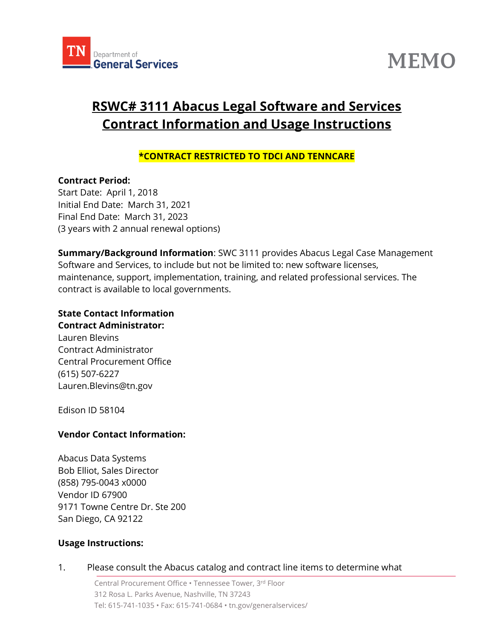



# **RSWC# 3111 Abacus Legal Software and Services Contract Information and Usage Instructions**

# **\*CONTRACT RESTRICTED TO TDCI AND TENNCARE**

#### **Contract Period:**

Start Date: April 1, 2018 Initial End Date: March 31, 2021 Final End Date: March 31, 2023 (3 years with 2 annual renewal options)

**Summary/Background Information**: SWC 3111 provides Abacus Legal Case Management Software and Services, to include but not be limited to: new software licenses, maintenance, support, implementation, training, and related professional services. The contract is available to local governments.

#### **State Contact Information Contract Administrator:**

Lauren Blevins Contract Administrator Central Procurement Office (615) 507-6227 Lauren.Blevins@tn.gov

Edison ID 58104

## **Vendor Contact Information:**

Abacus Data Systems Bob Elliot, Sales Director (858) 795-0043 x0000 Vendor ID 67900 9171 Towne Centre Dr. Ste 200 San Diego, CA 92122

## **Usage Instructions:**

#### 1. Please consult the Abacus catalog and contract line items to determine what

Central Procurement Office • Tennessee Tower, 3 rd Floor 312 Rosa L. Parks Avenue, Nashville, TN 37243 Tel: 615-741-1035 • Fax: 615-741-0684 • tn.gov/generalservices/